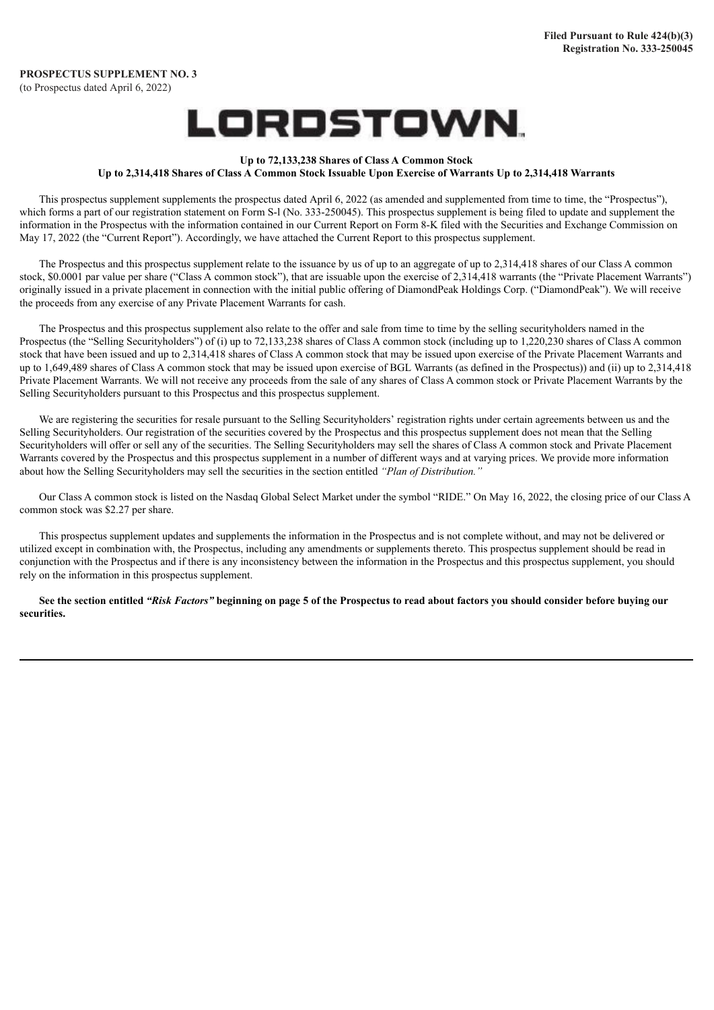# LORDSTOWN.

#### **Up to 72,133,238 Shares of Class A Common Stock** Up to 2,314,418 Shares of Class A Common Stock Issuable Upon Exercise of Warrants Up to 2,314,418 Warrants

This prospectus supplement supplements the prospectus dated April 6, 2022 (as amended and supplemented from time to time, the "Prospectus"), which forms a part of our registration statement on Form S-I (No. 333-250045). This prospectus supplement is being filed to update and supplement the information in the Prospectus with the information contained in our Current Report on Form 8-K filed with the Securities and Exchange Commission on May 17, 2022 (the "Current Report"). Accordingly, we have attached the Current Report to this prospectus supplement.

The Prospectus and this prospectus supplement relate to the issuance by us of up to an aggregate of up to 2,314,418 shares of our Class A common stock, \$0.0001 par value per share ("Class A common stock"), that are issuable upon the exercise of 2,314,418 warrants (the "Private Placement Warrants") originally issued in a private placement in connection with the initial public offering of DiamondPeak Holdings Corp. ("DiamondPeak"). We will receive the proceeds from any exercise of any Private Placement Warrants for cash.

The Prospectus and this prospectus supplement also relate to the offer and sale from time to time by the selling securityholders named in the Prospectus (the "Selling Securityholders") of (i) up to 72,133,238 shares of Class A common stock (including up to 1,220,230 shares of Class A common stock that have been issued and up to 2,314,418 shares of Class A common stock that may be issued upon exercise of the Private Placement Warrants and up to 1,649,489 shares of Class A common stock that may be issued upon exercise of BGL Warrants (as defined in the Prospectus)) and (ii) up to 2,314,418 Private Placement Warrants. We will not receive any proceeds from the sale of any shares of Class A common stock or Private Placement Warrants by the Selling Securityholders pursuant to this Prospectus and this prospectus supplement.

We are registering the securities for resale pursuant to the Selling Securityholders' registration rights under certain agreements between us and the Selling Securityholders. Our registration of the securities covered by the Prospectus and this prospectus supplement does not mean that the Selling Securityholders will offer or sell any of the securities. The Selling Securityholders may sell the shares of Class A common stock and Private Placement Warrants covered by the Prospectus and this prospectus supplement in a number of different ways and at varying prices. We provide more information about how the Selling Securityholders may sell the securities in the section entitled *"Plan of Distribution."*

Our Class A common stock is listed on the Nasdaq Global Select Market under the symbol "RIDE." On May 16, 2022, the closing price of our Class A common stock was \$2.27 per share.

This prospectus supplement updates and supplements the information in the Prospectus and is not complete without, and may not be delivered or utilized except in combination with, the Prospectus, including any amendments or supplements thereto. This prospectus supplement should be read in conjunction with the Prospectus and if there is any inconsistency between the information in the Prospectus and this prospectus supplement, you should rely on the information in this prospectus supplement.

See the section entitled "Risk Factors" beginning on page 5 of the Prospectus to read about factors you should consider before buying our **securities.**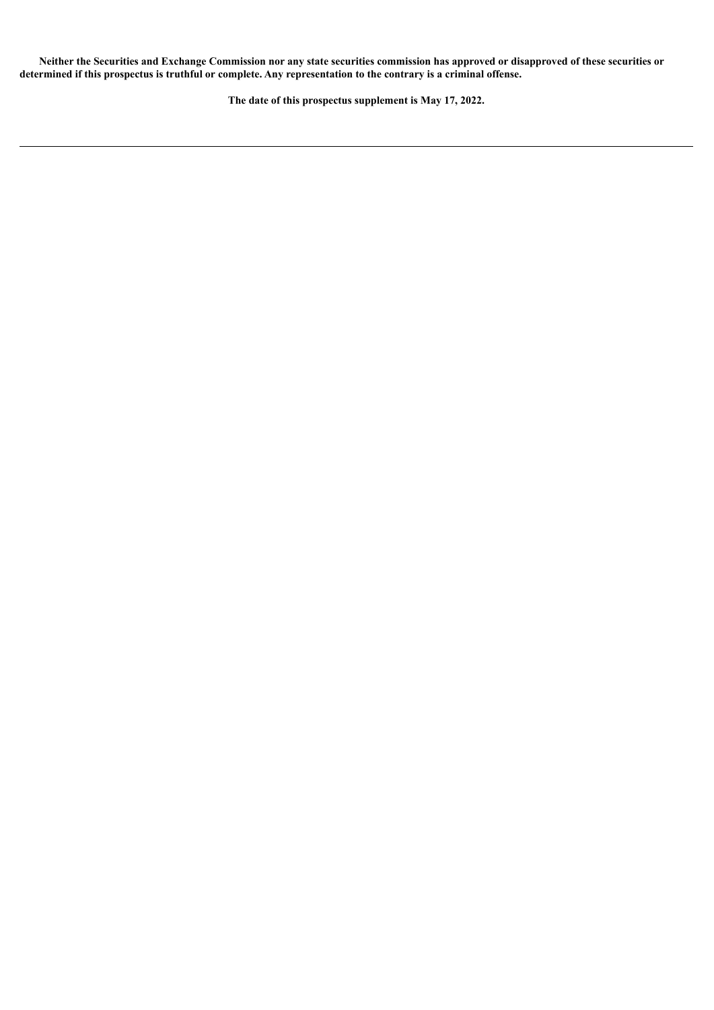Neither the Securities and Exchange Commission nor any state securities commission has approved or disapproved of these securities or determined if this prospectus is truthful or complete. Any representation to the contrary is a criminal offense.

**The date of this prospectus supplement is May 17, 2022.**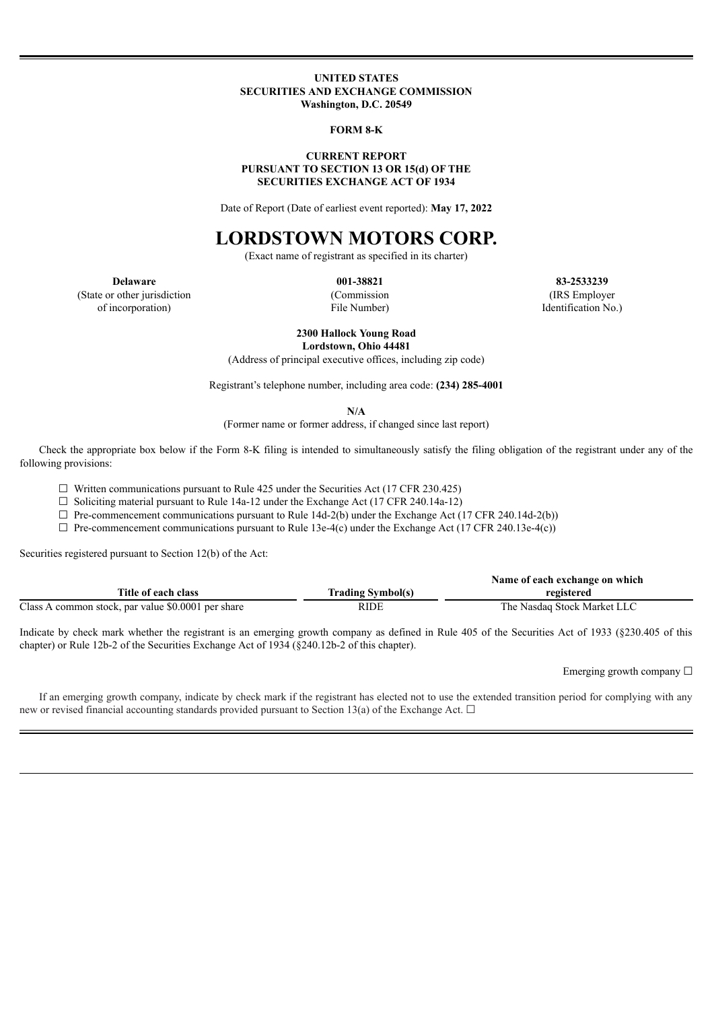#### **UNITED STATES SECURITIES AND EXCHANGE COMMISSION Washington, D.C. 20549**

#### **FORM 8-K**

#### **CURRENT REPORT PURSUANT TO SECTION 13 OR 15(d) OF THE SECURITIES EXCHANGE ACT OF 1934**

Date of Report (Date of earliest event reported): **May 17, 2022**

# **LORDSTOWN MOTORS CORP.**

(Exact name of registrant as specified in its charter)

(State or other jurisdiction of incorporation)

(Commission File Number)

**Delaware 001-38821 83-2533239** (IRS Employer Identification No.)

> **2300 Hallock Young Road Lordstown, Ohio 44481**

(Address of principal executive offices, including zip code)

Registrant's telephone number, including area code: **(234) 285-4001**

**N/A**

(Former name or former address, if changed since last report)

Check the appropriate box below if the Form 8-K filing is intended to simultaneously satisfy the filing obligation of the registrant under any of the following provisions:

 $\Box$  Written communications pursuant to Rule 425 under the Securities Act (17 CFR 230.425)

 $\Box$  Soliciting material pursuant to Rule 14a-12 under the Exchange Act (17 CFR 240.14a-12)

 $\Box$  Pre-commencement communications pursuant to Rule 14d-2(b) under the Exchange Act (17 CFR 240.14d-2(b))

 $\Box$  Pre-commencement communications pursuant to Rule 13e-4(c) under the Exchange Act (17 CFR 240.13e-4(c))

Securities registered pursuant to Section 12(b) of the Act:

|                                                    |                          | Name of each exchange on which |
|----------------------------------------------------|--------------------------|--------------------------------|
| Title of each class                                | <b>Trading Symbol(s)</b> | registered                     |
| Class A common stock, par value \$0.0001 per share | RIDE                     | The Nasdaq Stock Market LLC    |

Indicate by check mark whether the registrant is an emerging growth company as defined in Rule 405 of the Securities Act of 1933 (§230.405 of this chapter) or Rule 12b-2 of the Securities Exchange Act of 1934 (§240.12b-2 of this chapter).

Emerging growth company  $\Box$ 

If an emerging growth company, indicate by check mark if the registrant has elected not to use the extended transition period for complying with any new or revised financial accounting standards provided pursuant to Section 13(a) of the Exchange Act.  $\Box$